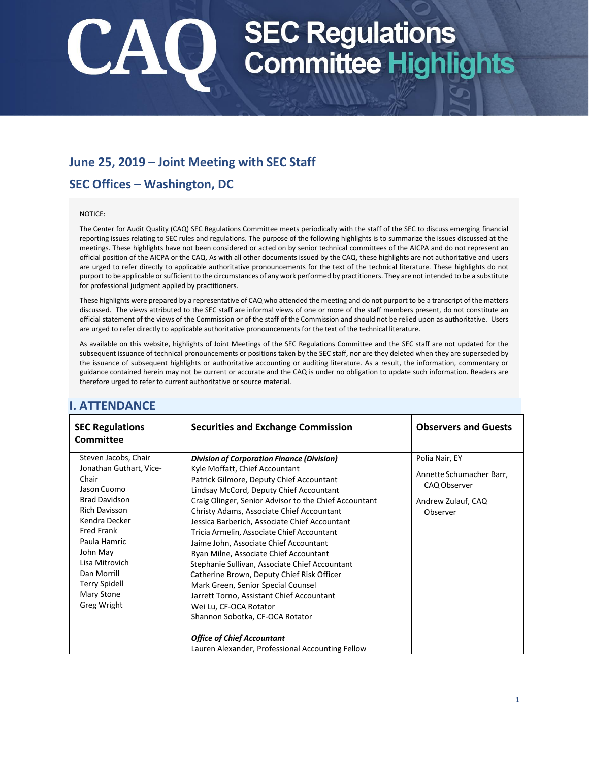## SEC Regulations<br>Committee Highlights

## **June 25, 2019 – Joint Meeting with SEC Staff**

## **SEC Offices – Washington, DC**

#### NOTICE:

The Center for Audit Quality (CAQ) SEC Regulations Committee meets periodically with the staff of the SEC to discuss emerging financial reporting issues relating to SEC rules and regulations. The purpose of the following highlights is to summarize the issues discussed at the meetings. These highlights have not been considered or acted on by senior technical committees of the AICPA and do not represent an official position of the AICPA or the CAQ. As with all other documents issued by the CAQ, these highlights are not authoritative and users are urged to refer directly to applicable authoritative pronouncements for the text of the technical literature. These highlights do not purport to be applicable or sufficient to the circumstances of any work performed by practitioners. They are not intended to be a substitute for professional judgment applied by practitioners.

These highlights were prepared by a representative of CAQ who attended the meeting and do not purport to be a transcript of the matters discussed. The views attributed to the SEC staff are informal views of one or more of the staff members present, do not constitute an official statement of the views of the Commission or of the staff of the Commission and should not be relied upon as authoritative. Users are urged to refer directly to applicable authoritative pronouncements for the text of the technical literature.

As available on this website, highlights of Joint Meetings of the SEC Regulations Committee and the SEC staff are not updated for the subsequent issuance of technical pronouncements or positions taken by the SEC staff, nor are they deleted when they are superseded by the issuance of subsequent highlights or authoritative accounting or auditing literature. As a result, the information, commentary or guidance contained herein may not be current or accurate and the CAQ is under no obligation to update such information. Readers are therefore urged to refer to current authoritative or source material.

| <b>SEC Regulations</b><br><b>Committee</b>                                                                                                                                                                                                                                             | <b>Securities and Exchange Commission</b>                                                                                                                                                                                                                                                                                                                                                                                                                                                                                                                                                                                                                                                                                                                                                                    | <b>Observers and Guests</b>                                                                  |
|----------------------------------------------------------------------------------------------------------------------------------------------------------------------------------------------------------------------------------------------------------------------------------------|--------------------------------------------------------------------------------------------------------------------------------------------------------------------------------------------------------------------------------------------------------------------------------------------------------------------------------------------------------------------------------------------------------------------------------------------------------------------------------------------------------------------------------------------------------------------------------------------------------------------------------------------------------------------------------------------------------------------------------------------------------------------------------------------------------------|----------------------------------------------------------------------------------------------|
| Steven Jacobs, Chair<br>Jonathan Guthart, Vice-<br>Chair<br>Jason Cuomo<br><b>Brad Davidson</b><br><b>Rich Davisson</b><br>Kendra Decker<br><b>Fred Frank</b><br>Paula Hamric<br>John May<br>Lisa Mitrovich<br>Dan Morrill<br><b>Terry Spidell</b><br>Mary Stone<br><b>Greg Wright</b> | <b>Division of Corporation Finance (Division)</b><br>Kyle Moffatt, Chief Accountant<br>Patrick Gilmore, Deputy Chief Accountant<br>Lindsay McCord, Deputy Chief Accountant<br>Craig Olinger, Senior Advisor to the Chief Accountant<br>Christy Adams, Associate Chief Accountant<br>Jessica Barberich, Associate Chief Accountant<br>Tricia Armelin, Associate Chief Accountant<br>Jaime John, Associate Chief Accountant<br>Ryan Milne, Associate Chief Accountant<br>Stephanie Sullivan, Associate Chief Accountant<br>Catherine Brown, Deputy Chief Risk Officer<br>Mark Green, Senior Special Counsel<br>Jarrett Torno, Assistant Chief Accountant<br>Wei Lu, CF-OCA Rotator<br>Shannon Sobotka, CF-OCA Rotator<br><b>Office of Chief Accountant</b><br>Lauren Alexander, Professional Accounting Fellow | Polia Nair, EY<br>Annette Schumacher Barr,<br>CAQ Observer<br>Andrew Zulauf, CAQ<br>Observer |

### **I. ATTENDANCE**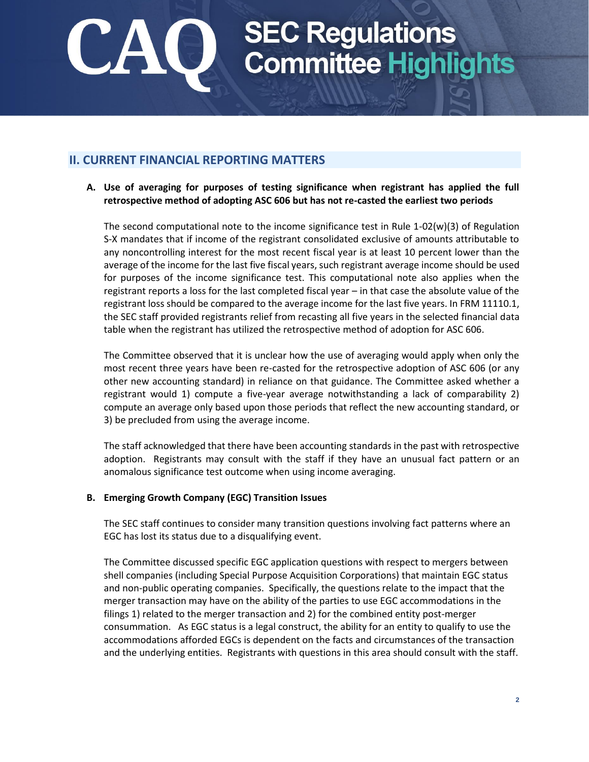## SEC Regulations<br>Committee Highlights

## **II. CURRENT FINANCIAL REPORTING MATTERS**

**A. Use of averaging for purposes of testing significance when registrant has applied the full retrospective method of adopting ASC 606 but has not re-casted the earliest two periods** 

The second computational note to the income significance test in Rule 1-02(w)(3) of Regulation S-X mandates that if income of the registrant consolidated exclusive of amounts attributable to any noncontrolling interest for the most recent fiscal year is at least 10 percent lower than the average of the income for the last five fiscal years, such registrant average income should be used for purposes of the income significance test. This computational note also applies when the registrant reports a loss for the last completed fiscal year – in that case the absolute value of the registrant loss should be compared to the average income for the last five years. In FRM 11110.1, the SEC staff provided registrants relief from recasting all five years in the selected financial data table when the registrant has utilized the retrospective method of adoption for ASC 606.

The Committee observed that it is unclear how the use of averaging would apply when only the most recent three years have been re-casted for the retrospective adoption of ASC 606 (or any other new accounting standard) in reliance on that guidance. The Committee asked whether a registrant would 1) compute a five-year average notwithstanding a lack of comparability 2) compute an average only based upon those periods that reflect the new accounting standard, or 3) be precluded from using the average income.

The staff acknowledged that there have been accounting standards in the past with retrospective adoption. Registrants may consult with the staff if they have an unusual fact pattern or an anomalous significance test outcome when using income averaging.

### **B. Emerging Growth Company (EGC) Transition Issues**

The SEC staff continues to consider many transition questions involving fact patterns where an EGC has lost its status due to a disqualifying event.

The Committee discussed specific EGC application questions with respect to mergers between shell companies (including Special Purpose Acquisition Corporations) that maintain EGC status and non-public operating companies. Specifically, the questions relate to the impact that the merger transaction may have on the ability of the parties to use EGC accommodations in the filings 1) related to the merger transaction and 2) for the combined entity post-merger consummation. As EGC status is a legal construct, the ability for an entity to qualify to use the accommodations afforded EGCs is dependent on the facts and circumstances of the transaction and the underlying entities. Registrants with questions in this area should consult with the staff.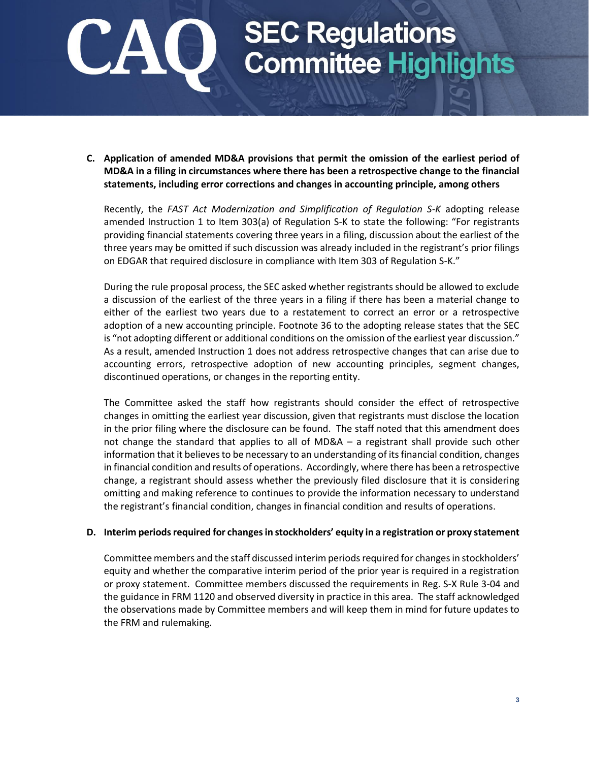## SEC Regulations<br>Committee Highlights

**C. Application of amended MD&A provisions that permit the omission of the earliest period of MD&A in a filing in circumstances where there has been a retrospective change to the financial statements, including error corrections and changes in accounting principle, among others**

Recently, the *FAST Act Modernization and Simplification of Regulation S-K* adopting release amended Instruction 1 to Item 303(a) of Regulation S-K to state the following: "For registrants providing financial statements covering three years in a filing, discussion about the earliest of the three years may be omitted if such discussion was already included in the registrant's prior filings on EDGAR that required disclosure in compliance with Item 303 of Regulation S-K."

During the rule proposal process, the SEC asked whether registrants should be allowed to exclude a discussion of the earliest of the three years in a filing if there has been a material change to either of the earliest two years due to a restatement to correct an error or a retrospective adoption of a new accounting principle. Footnote 36 to the adopting release states that the SEC is "not adopting different or additional conditions on the omission of the earliest year discussion." As a result, amended Instruction 1 does not address retrospective changes that can arise due to accounting errors, retrospective adoption of new accounting principles, segment changes, discontinued operations, or changes in the reporting entity.

The Committee asked the staff how registrants should consider the effect of retrospective changes in omitting the earliest year discussion, given that registrants must disclose the location in the prior filing where the disclosure can be found. The staff noted that this amendment does not change the standard that applies to all of MD&A – a registrant shall provide such other information that it believes to be necessary to an understanding of its financial condition, changes in financial condition and results of operations. Accordingly, where there has been a retrospective change, a registrant should assess whether the previously filed disclosure that it is considering omitting and making reference to continues to provide the information necessary to understand the registrant's financial condition, changes in financial condition and results of operations.

#### **D. Interim periods required for changes in stockholders' equity in a registration or proxy statement**

Committee members and the staff discussed interim periods required for changes in stockholders' equity and whether the comparative interim period of the prior year is required in a registration or proxy statement. Committee members discussed the requirements in Reg. S-X Rule 3-04 and the guidance in FRM 1120 and observed diversity in practice in this area. The staff acknowledged the observations made by Committee members and will keep them in mind for future updates to the FRM and rulemaking*.*